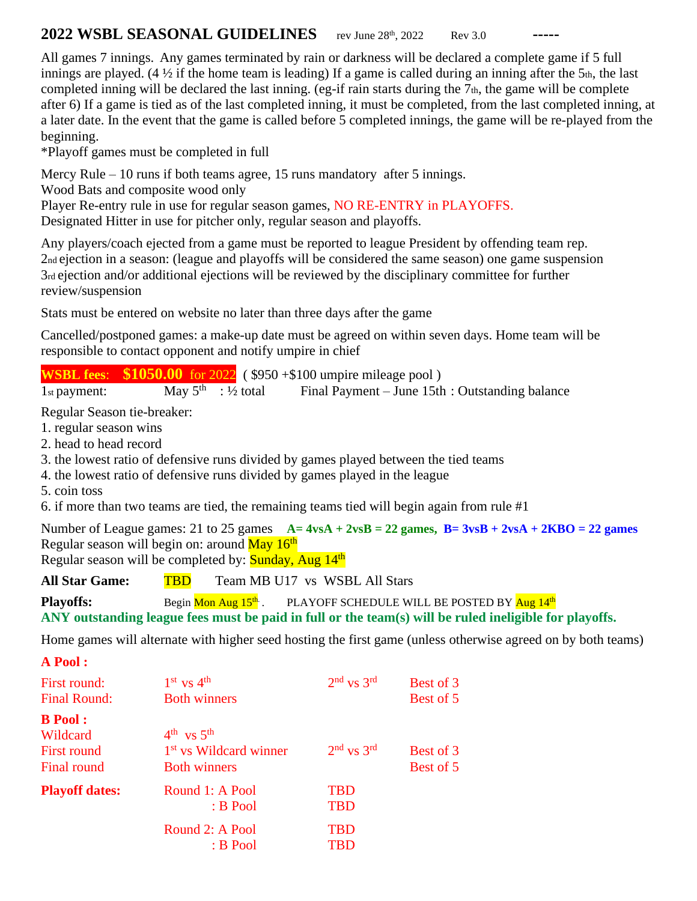## **2022 WSBL SEASONAL GUIDELINES** rev June 28<sup>th</sup>, 2022 Rev 3.0

All games 7 innings. Any games terminated by rain or darkness will be declared a complete game if 5 full innings are played. (4  $\frac{1}{2}$  if the home team is leading) If a game is called during an inning after the 5th, the last completed inning will be declared the last inning. (eg-if rain starts during the 7th, the game will be complete after 6) If a game is tied as of the last completed inning, it must be completed, from the last completed inning, at a later date. In the event that the game is called before 5 completed innings, the game will be re-played from the beginning.

\*Playoff games must be completed in full

Mercy Rule – 10 runs if both teams agree, 15 runs mandatory after 5 innings.

Wood Bats and composite wood only

Player Re-entry rule in use for regular season games, NO RE-ENTRY in PLAYOFFS.

Designated Hitter in use for pitcher only, regular season and playoffs.

Any players/coach ejected from a game must be reported to league President by offending team rep. 2nd ejection in a season: (league and playoffs will be considered the same season) one game suspension 3rd ejection and/or additional ejections will be reviewed by the disciplinary committee for further review/suspension

Stats must be entered on website no later than three days after the game

Cancelled/postponed games: a make-up date must be agreed on within seven days. Home team will be responsible to contact opponent and notify umpire in chief

**WSBL fees**: **\$1050.00** for 2022 ( \$950 +\$100 umpire mileage pool )

 $1<sub>st</sub>$  payment: May  $5^{\text{th}}$  : 1/2 total Final Payment – June 15th : Outstanding balance

Regular Season tie-breaker:

- 1. regular season wins
- 2. head to head record
- 3. the lowest ratio of defensive runs divided by games played between the tied teams
- 4. the lowest ratio of defensive runs divided by games played in the league
- 5. coin toss
- 6. if more than two teams are tied, the remaining teams tied will begin again from rule #1

Number of League games: 21 to 25 games  $A = 4vSA + 2vSB = 22$  games,  $B = 3vSB + 2vSA + 2KBO = 22$  games Regular season will begin on: around <mark>May 16<sup>th</sup></mark>

Regular season will be completed by: Sunday, Aug  $14<sup>th</sup>$ 

**All Star Game: TBD** Team MB U17 vs WSBL All Stars

**Playoffs:** Begin Mon Aug 15<sup>th</sup>. PLAYOFF SCHEDULE WILL BE POSTED BY Aug 14th **ANY outstanding league fees must be paid in full or the team(s) will be ruled ineligible for playoffs.**

Home games will alternate with higher seed hosting the first game (unless otherwise agreed on by both teams)

**A Pool :**

| First round:<br><b>Final Round:</b>                             | $1st$ vs $4th$<br><b>Both winners</b>                                             | $2nd$ vs $3rd$                                | Best of 3<br>Best of 5 |
|-----------------------------------------------------------------|-----------------------------------------------------------------------------------|-----------------------------------------------|------------------------|
| <b>B</b> Pool:<br>Wildcard<br><b>First round</b><br>Final round | $4^{th}$ vs $5^{th}$<br>1 <sup>st</sup> vs Wildcard winner<br><b>Both winners</b> | $2nd$ vs $3rd$                                | Best of 3<br>Best of 5 |
| <b>Playoff dates:</b>                                           | Round 1: A Pool<br>$B$ Pool<br>Round 2: A Pool<br>$B$ Pool                        | <b>TBD</b><br><b>TBD</b><br><b>TBD</b><br>TBD |                        |